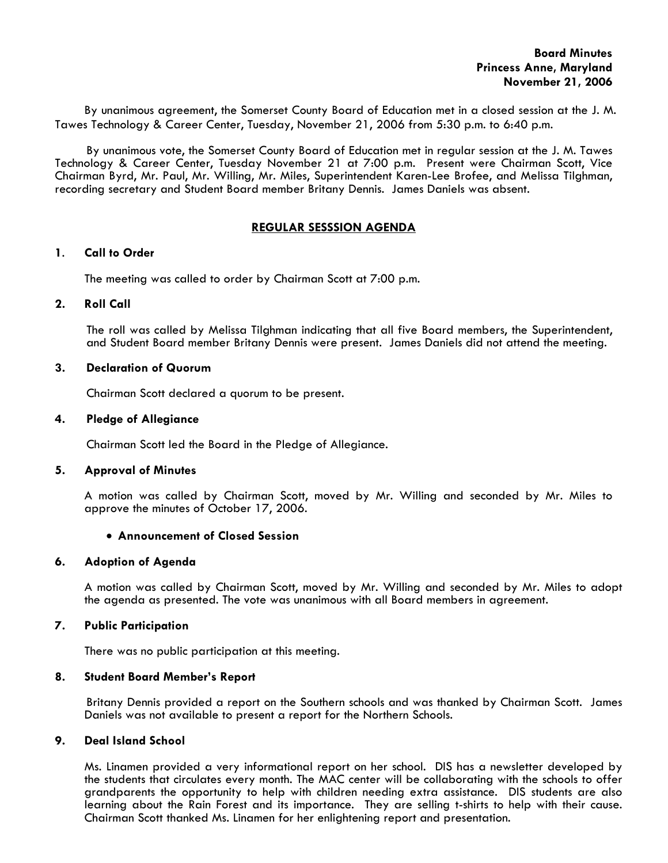By unanimous agreement, the Somerset County Board of Education met in a closed session at the J. M. Tawes Technology & Career Center, Tuesday, November 21, 2006 from 5:30 p.m. to 6:40 p.m.

 By unanimous vote, the Somerset County Board of Education met in regular session at the J. M. Tawes Technology & Career Center, Tuesday November 21 at 7:00 p.m. Present were Chairman Scott, Vice Chairman Byrd, Mr. Paul, Mr. Willing, Mr. Miles, Superintendent Karen-Lee Brofee, and Melissa Tilghman, recording secretary and Student Board member Britany Dennis. James Daniels was absent.

# **REGULAR SESSSION AGENDA**

## **1**. **Call to Order**

The meeting was called to order by Chairman Scott at 7:00 p.m.

# **2. Roll Call**

The roll was called by Melissa Tilghman indicating that all five Board members, the Superintendent, and Student Board member Britany Dennis were present. James Daniels did not attend the meeting.

# **3. Declaration of Quorum**

Chairman Scott declared a quorum to be present.

### **4. Pledge of Allegiance**

Chairman Scott led the Board in the Pledge of Allegiance.

### **5. Approval of Minutes**

 A motion was called by Chairman Scott, moved by Mr. Willing and seconded by Mr. Miles to approve the minutes of October 17, 2006.

#### • **Announcement of Closed Session**

## **6. Adoption of Agenda**

 A motion was called by Chairman Scott, moved by Mr. Willing and seconded by Mr. Miles to adopt the agenda as presented. The vote was unanimous with all Board members in agreement.

#### **7. Public Participation**

There was no public participation at this meeting.

#### **8. Student Board Member's Report**

 Britany Dennis provided a report on the Southern schools and was thanked by Chairman Scott. James Daniels was not available to present a report for the Northern Schools.

# **9. Deal Island School**

 Ms. Linamen provided a very informational report on her school. DIS has a newsletter developed by the students that circulates every month. The MAC center will be collaborating with the schools to offer grandparents the opportunity to help with children needing extra assistance. DIS students are also learning about the Rain Forest and its importance. They are selling t-shirts to help with their cause. Chairman Scott thanked Ms. Linamen for her enlightening report and presentation.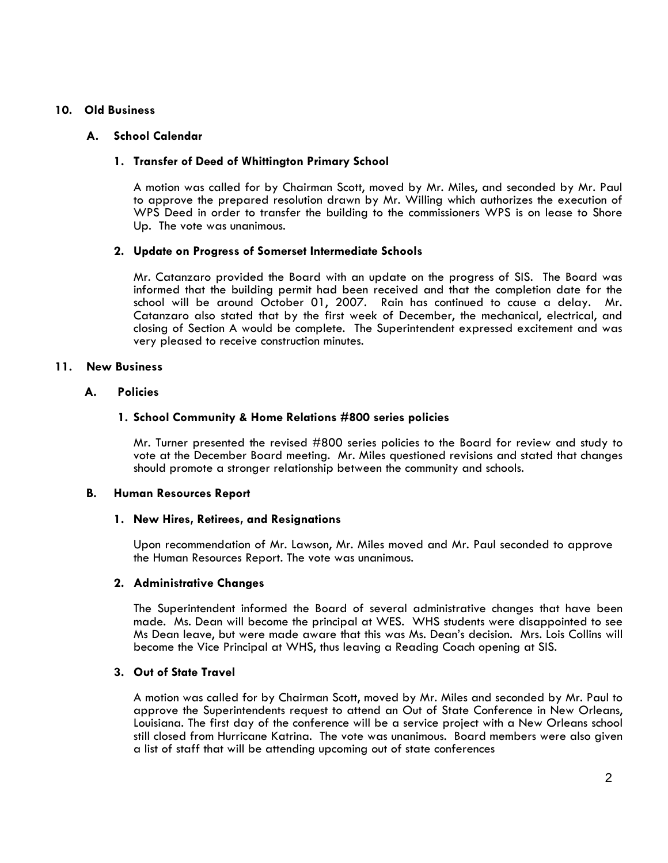# **10. Old Business**

### **A. School Calendar**

# **1. Transfer of Deed of Whittington Primary School**

A motion was called for by Chairman Scott, moved by Mr. Miles, and seconded by Mr. Paul to approve the prepared resolution drawn by Mr. Willing which authorizes the execution of WPS Deed in order to transfer the building to the commissioners WPS is on lease to Shore Up. The vote was unanimous.

## **2. Update on Progress of Somerset Intermediate Schools**

Mr. Catanzaro provided the Board with an update on the progress of SIS. The Board was informed that the building permit had been received and that the completion date for the school will be around October 01, 2007. Rain has continued to cause a delay. Mr. Catanzaro also stated that by the first week of December, the mechanical, electrical, and closing of Section A would be complete. The Superintendent expressed excitement and was very pleased to receive construction minutes.

# **11. New Business**

## **A. Policies**

## **1. School Community & Home Relations #800 series policies**

Mr. Turner presented the revised #800 series policies to the Board for review and study to vote at the December Board meeting. Mr. Miles questioned revisions and stated that changes should promote a stronger relationship between the community and schools.

#### **B. Human Resources Report**

#### **1. New Hires, Retirees, and Resignations**

Upon recommendation of Mr. Lawson, Mr. Miles moved and Mr. Paul seconded to approve the Human Resources Report. The vote was unanimous.

#### **2. Administrative Changes**

 The Superintendent informed the Board of several administrative changes that have been made. Ms. Dean will become the principal at WES. WHS students were disappointed to see Ms Dean leave, but were made aware that this was Ms. Dean's decision. Mrs. Lois Collins will become the Vice Principal at WHS, thus leaving a Reading Coach opening at SIS.

# **3. Out of State Travel**

 A motion was called for by Chairman Scott, moved by Mr. Miles and seconded by Mr. Paul to approve the Superintendents request to attend an Out of State Conference in New Orleans, Louisiana. The first day of the conference will be a service project with a New Orleans school still closed from Hurricane Katrina. The vote was unanimous. Board members were also given a list of staff that will be attending upcoming out of state conferences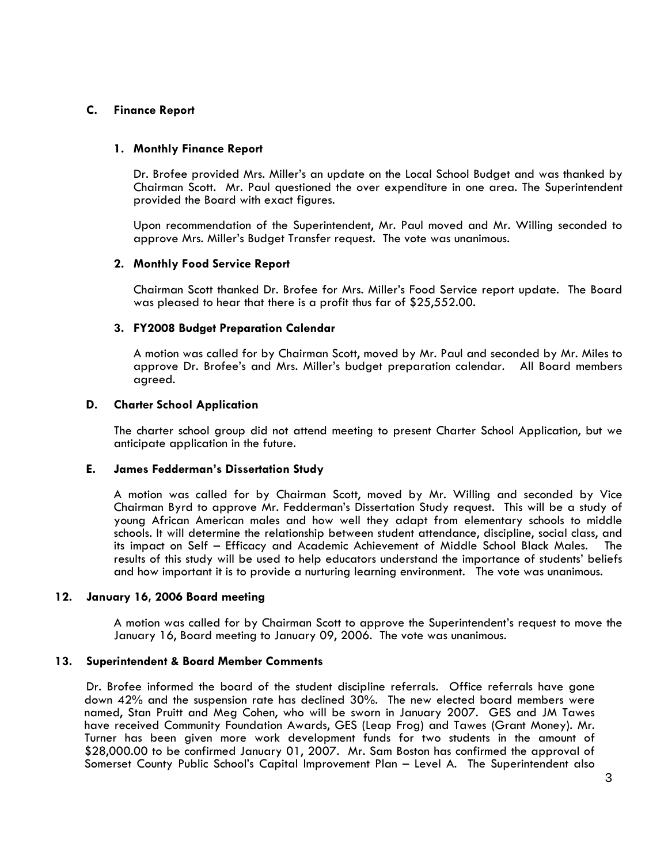# **C. Finance Report**

# **1. Monthly Finance Report**

Dr. Brofee provided Mrs. Miller's an update on the Local School Budget and was thanked by Chairman Scott. Mr. Paul questioned the over expenditure in one area. The Superintendent

Upon recommendation of the Superintendent, Mr. Paul moved and Mr. Willing seconded to approve Mrs. Miller's Budget Transfer request. The vote was unanimous.

# **2. Monthly Food Service Report**

Chairman Scott thanked Dr. Brofee for Mrs. Miller's Food Service report update. The Board was pleased to hear that there is a profit thus far of \$25,552.00.

## **3. FY2008 Budget Preparation Calendar**

A motion was called for by Chairman Scott, moved by Mr. Paul and seconded by Mr. Miles to approve Dr. Brofee's and Mrs. Miller's budget preparation calendar. All Board members agreed.

## **D. Charter School Application**

The charter school group did not attend meeting to present Charter School Application, but we anticipate application in the future.

#### **E. James Fedderman's Dissertation Study**

A motion was called for by Chairman Scott, moved by Mr. Willing and seconded by Vice Chairman Byrd to approve Mr. Fedderman's Dissertation Study request. This will be a study of young African American males and how well they adapt from elementary schools to middle schools. It will determine the relationship between student attendance, discipline, social class, and its impact on Self – Efficacy and Academic Achievement of Middle School Black Males. The results of this study will be used to help educators understand the importance of students' beliefs and how important it is to provide a nurturing learning environment. The vote was unanimous.

#### **12. January 16, 2006 Board meeting**

A motion was called for by Chairman Scott to approve the Superintendent's request to move the January 16, Board meeting to January 09, 2006. The vote was unanimous.

#### **13. Superintendent & Board Member Comments**

Dr. Brofee informed the board of the student discipline referrals. Office referrals have gone down 42% and the suspension rate has declined 30%. The new elected board members were named, Stan Pruitt and Meg Cohen, who will be sworn in January 2007. GES and JM Tawes have received Community Foundation Awards, GES (Leap Frog) and Tawes (Grant Money). Mr. Turner has been given more work development funds for two students in the amount of \$28,000.00 to be confirmed January 01, 2007. Mr. Sam Boston has confirmed the approval of Somerset County Public School's Capital Improvement Plan – Level A. The Superintendent also